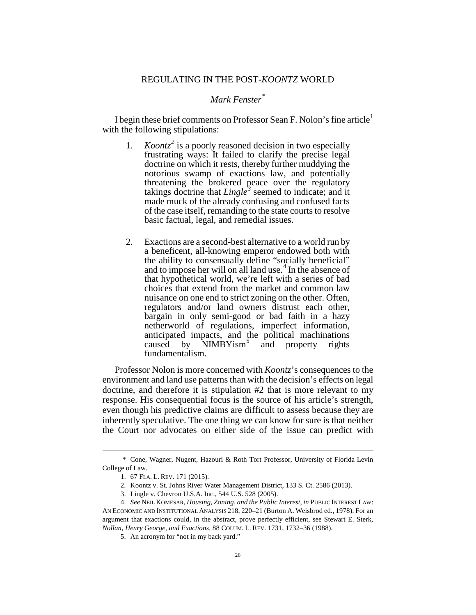## *Mark Fenster[\\*](#page-0-0)*

I begin these brief comments on Professor Sean F. Nolon's fine article<sup>[1](#page-0-1)</sup> with the following stipulations:

- 1. *Koontz[2](#page-0-2)* is a poorly reasoned decision in two especially frustrating ways: It failed to clarify the precise legal doctrine on which it rests, thereby further muddying the notorious swamp of exactions law, and potentially threatening the brokered peace over the regulatory takings doctrine that *Lingle[3](#page-0-3)* seemed to indicate; and it made muck of the already confusing and confused facts of the case itself, remanding to the state courts to resolve basic factual, legal, and remedial issues.
- 2. Exactions are a second-best alternative to a world run by a beneficent, all-knowing emperor endowed both with the ability to consensually define "socially beneficial" and to impose her will on all land use.<sup>[4](#page-0-4)</sup> In the absence of that hypothetical world, we're left with a series of bad choices that extend from the market and common law nuisance on one end to strict zoning on the other. Often, regulators and/or land owners distrust each other, bargain in only semi-good or bad faith in a hazy netherworld of regulations, imperfect information, anticipated impacts, and the political machinations caused by  $\overrightarrow{\text{NIMBY}1\text{sm}}^5$  $\overrightarrow{\text{NIMBY}1\text{sm}}^5$  and property rights fundamentalism.

Professor Nolon is more concerned with *Koontz*'s consequences to the environment and land use patterns than with the decision's effects on legal doctrine, and therefore it is stipulation #2 that is more relevant to my response. His consequential focus is the source of his article's strength, even though his predictive claims are difficult to assess because they are inherently speculative. The one thing we can know for sure is that neither the Court nor advocates on either side of the issue can predict with

<span id="page-0-1"></span><span id="page-0-0"></span> <sup>\*</sup> Cone, Wagner, Nugent, Hazouri & Roth Tort Professor, University of Florida Levin College of Law.

<sup>1.</sup> 67 FLA. L. REV. 171 (2015).

<sup>2.</sup> Koontz v. St. Johns River Water Management District, 133 S. Ct. 2586 (2013).

<sup>3.</sup> Lingle v. Chevron U.S.A. Inc., 544 U.S. 528 (2005).

<span id="page-0-5"></span><span id="page-0-4"></span><span id="page-0-3"></span><span id="page-0-2"></span><sup>4.</sup> *See* NEIL KOMESAR, *Housing, Zoning, and the Public Interest*, *in* PUBLIC INTEREST LAW: AN ECONOMIC AND INSTITUTIONAL ANALYSIS 218, 220–21 (Burton A. Weisbrod ed., 1978). For an argument that exactions could, in the abstract, prove perfectly efficient, see Stewart E. Sterk, *Nollan*, *Henry George, and Exactions*, 88 COLUM. L. REV. 1731, 1732–36 (1988).

<sup>5.</sup> An acronym for "not in my back yard."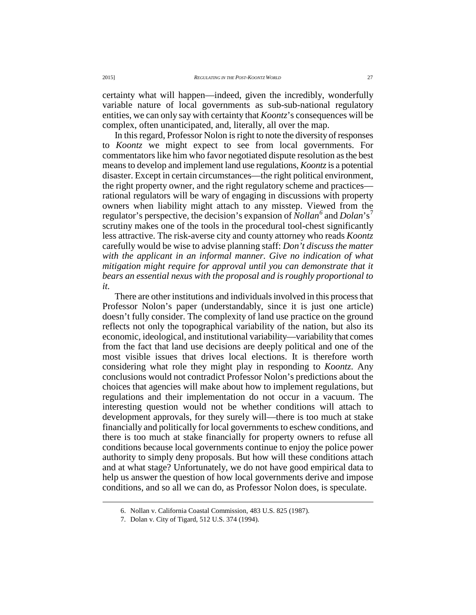certainty what will happen—indeed, given the incredibly, wonderfully variable nature of local governments as sub-sub-national regulatory entities, we can only say with certainty that *Koontz*'s consequences will be complex, often unanticipated, and, literally, all over the map.

In this regard, Professor Nolon is right to note the diversity of responses to *Koontz* we might expect to see from local governments. For commentators like him who favor negotiated dispute resolution as the best means to develop and implement land use regulations, *Koontz* is a potential disaster. Except in certain circumstances—the right political environment, the right property owner, and the right regulatory scheme and practices rational regulators will be wary of engaging in discussions with property owners when liability might attach to any misstep. Viewed from the regulator's perspective, the decision's expansion of *Nollan[6](#page-1-0)* and *Dolan*'s [7](#page-1-1) scrutiny makes one of the tools in the procedural tool-chest significantly less attractive. The risk-averse city and county attorney who reads *Koontz* carefully would be wise to advise planning staff: *Don't discuss the matter with the applicant in an informal manner. Give no indication of what mitigation might require for approval until you can demonstrate that it bears an essential nexus with the proposal and is roughly proportional to it.*

There are other institutions and individuals involved in this process that Professor Nolon's paper (understandably, since it is just one article) doesn't fully consider. The complexity of land use practice on the ground reflects not only the topographical variability of the nation, but also its economic, ideological, and institutional variability—variability that comes from the fact that land use decisions are deeply political and one of the most visible issues that drives local elections. It is therefore worth considering what role they might play in responding to *Koontz*. Any conclusions would not contradict Professor Nolon's predictions about the choices that agencies will make about how to implement regulations, but regulations and their implementation do not occur in a vacuum. The interesting question would not be whether conditions will attach to development approvals, for they surely will—there is too much at stake financially and politically for local governments to eschew conditions, and there is too much at stake financially for property owners to refuse all conditions because local governments continue to enjoy the police power authority to simply deny proposals. But how will these conditions attach and at what stage? Unfortunately, we do not have good empirical data to help us answer the question of how local governments derive and impose conditions, and so all we can do, as Professor Nolon does, is speculate.

 <sup>6.</sup> Nollan v. California Coastal Commission, 483 U.S. 825 (1987).

<span id="page-1-1"></span><span id="page-1-0"></span><sup>7.</sup> Dolan v. City of Tigard, 512 U.S. 374 (1994).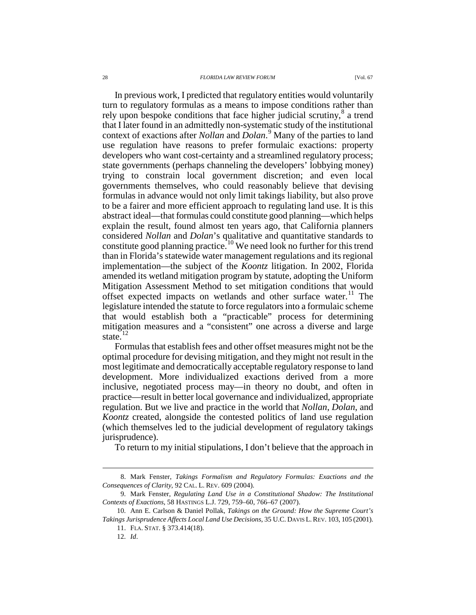## 28 *FLORIDA LAW REVIEW FORUM* [Vol. 67

In previous work, I predicted that regulatory entities would voluntarily turn to regulatory formulas as a means to impose conditions rather than rely upon bespoke conditions that face higher judicial scrutiny, $\delta$  a trend that I later found in an admittedly non-systematic study of the institutional context of exactions after *Nollan* and *Dolan*. [9](#page-2-1) Many of the parties to land use regulation have reasons to prefer formulaic exactions: property developers who want cost-certainty and a streamlined regulatory process; state governments (perhaps channeling the developers' lobbying money) trying to constrain local government discretion; and even local governments themselves, who could reasonably believe that devising formulas in advance would not only limit takings liability, but also prove to be a fairer and more efficient approach to regulating land use. It is this abstract ideal—that formulas could constitute good planning—which helps explain the result, found almost ten years ago, that California planners considered *Nollan* and *Dolan*'s qualitative and quantitative standards to constitute good planning practice.<sup>[10](#page-2-2)</sup> We need look no further for this trend than in Florida's statewide water management regulations and its regional implementation—the subject of the *Koontz* litigation. In 2002, Florida amended its wetland mitigation program by statute, adopting the Uniform Mitigation Assessment Method to set mitigation conditions that would offset expected impacts on wetlands and other surface water.<sup>[11](#page-2-3)</sup> The legislature intended the statute to force regulators into a formulaic scheme that would establish both a "practicable" process for determining mitigation measures and a "consistent" one across a diverse and large state.<sup>[12](#page-2-4)</sup>

Formulas that establish fees and other offset measures might not be the optimal procedure for devising mitigation, and they might not result in the most legitimate and democratically acceptable regulatory response to land development. More individualized exactions derived from a more inclusive, negotiated process may—in theory no doubt, and often in practice—result in better local governance and individualized, appropriate regulation. But we live and practice in the world that *Nollan*, *Dolan*, and *Koontz* created, alongside the contested politics of land use regulation (which themselves led to the judicial development of regulatory takings jurisprudence).

To return to my initial stipulations, I don't believe that the approach in

<span id="page-2-0"></span> <sup>8.</sup> Mark Fenster, *Takings Formalism and Regulatory Formulas: Exactions and the Consequences of Clarity*, 92 CAL. L. REV. 609 (2004).

<span id="page-2-1"></span><sup>9.</sup> Mark Fenster, *Regulating Land Use in a Constitutional Shadow: The Institutional Contexts of Exactions*, 58 HASTINGS L.J. 729, 759–60, 766–67 (2007).

<span id="page-2-4"></span><span id="page-2-3"></span><span id="page-2-2"></span><sup>10.</sup> Ann E. Carlson & Daniel Pollak, *Takings on the Ground: How the Supreme Court's Takings Jurisprudence Affects Local Land Use Decisions*, 35 U.C. DAVIS L.REV. 103, 105 (2001).

<sup>11.</sup> FLA. STAT. § 373.414(18).

<sup>12.</sup> *Id*.